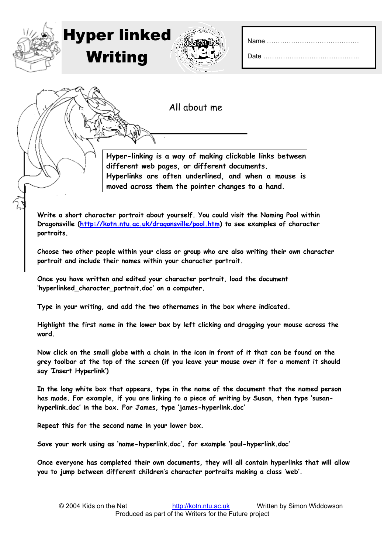All about me

**Hyper-linking is a way of making clickable links between different web pages, or different documents. Hyperlinks are often underlined, and when a mouse is moved across them the pointer changes to a hand.** 

**Write a short character portrait about yourself. You could visit the Naming Pool within Dragonsville (<http://kotn.ntu.ac.uk/dragonsville/pool.htm>) to see examples of character portraits.** 

**Choose two other people within your class or group who are also writing their own character portrait and include their names within your character portrait.** 

**Once you have written and edited your character portrait, load the document 'hyperlinked\_character\_portrait.doc' on a computer.** 

**Type in your writing, and add the two othernames in the box where indicated.** 

**Highlight the first name in the lower box by left clicking and dragging your mouse across the word.** 

**Now click on the small globe with a chain in the icon in front of it that can be found on the grey toolbar at the top of the screen (if you leave your mouse over it for a moment it should say 'Insert Hyperlink')** 

**In the long white box that appears, type in the name of the document that the named person has made. For example, if you are linking to a piece of writing by Susan, then type 'susanhyperlink.doc' in the box. For James, type 'james-hyperlink.doc'** 

**Repeat this for the second name in your lower box.** 

Hyper linked

Writing

**Save your work using as 'name-hyperlink.doc', for example 'paul-hyperlink.doc'** 

**Once everyone has completed their own documents, they will all contain hyperlinks that will allow you to jump between different children's character portraits making a class 'web'.**